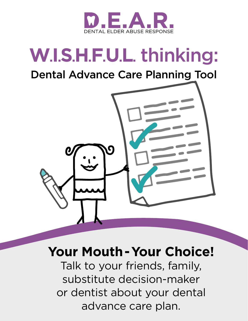

# **W.I.S.H.F.U.L.** thinking:

### Dental Advance Care Planning Tool



## **Your Mouth - Your Choice!**

Talk to your friends, family, substitute decision-maker or dentist about your dental advance care plan.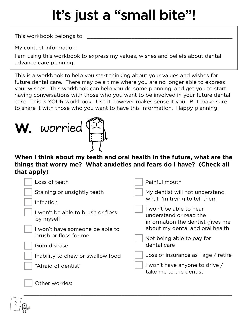# It's just a "small bite"!

This workbook belongs to:

My contact information:

I am using this workbook to express my values, wishes and beliefs about dental advance care planning.

This is a workbook to help you start thinking about your values and wishes for future dental care. There may be a time where you are no longer able to express your wishes. This workbook can help you do some planning, and get you to start having conversations with those who you want to be involved in your future dental care. This is YOUR workbook. Use it however makes sense it you. But make sure to share it with those who you want to have this information. Happy planning!

# W. worried  $\left(\begin{matrix} 1 & 1 \\ 1 & 1 \end{matrix}\right)$

2

#### **When I think about my teeth and oral health in the future, what are the things that worry me? What anxieties and fears do I have? (Check all that apply)**

| Loss of teeth                                  | Painful mouth                                                                          |
|------------------------------------------------|----------------------------------------------------------------------------------------|
| Staining or unsightly teeth                    | My dentist will not understand                                                         |
| Infection                                      | what I'm trying to tell them                                                           |
| I won't be able to brush or floss<br>by myself | I won't be able to hear,<br>understand or read the<br>information the dentist gives me |
| I won't have someone be able to                | about my dental and oral health                                                        |
| brush or floss for me                          | Not being able to pay for                                                              |
| Gum disease                                    | dental care                                                                            |
| Inability to chew or swallow food              | Loss of insurance as $\log$ / retire                                                   |
| "Afraid of dentist"                            | I won't have anyone to drive /<br>take me to the dentist                               |
| Other worries:                                 |                                                                                        |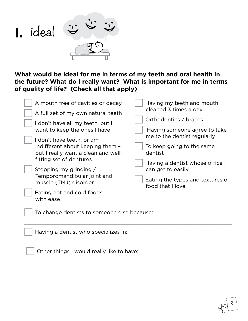

**What would be ideal for me in terms of my teeth and oral health in the future? What do I really want? What is important for me in terms of quality of life? (Check all that apply)**

| A mouth free of cavities or decay                                                                    | Having my teeth and mouth                                   |  |
|------------------------------------------------------------------------------------------------------|-------------------------------------------------------------|--|
| A full set of my own natural teeth                                                                   | cleaned 3 times a day                                       |  |
| I don't have all my teeth, but I                                                                     | Orthodontics / braces                                       |  |
| want to keep the ones I have                                                                         | Having someone agree to take<br>me to the dentist regularly |  |
| I don't have teeth, or am<br>indifferent about keeping them -<br>but I really want a clean and well- | To keep going to the same<br>dentist                        |  |
| fitting set of dentures<br>Stopping my grinding /                                                    | Having a dentist whose office I<br>can get to easily        |  |
| Temporomandibular joint and<br>muscle (TMJ) disorder                                                 | Eating the types and textures of<br>food that I love        |  |
| Eating hot and cold foods<br>with ease                                                               |                                                             |  |
| To change dentists to someone else because:                                                          |                                                             |  |

 $\_$  , and the set of the set of the set of the set of the set of the set of the set of the set of the set of the set of the set of the set of the set of the set of the set of the set of the set of the set of the set of th

\_\_\_\_\_\_\_\_\_\_\_\_\_\_\_\_\_\_\_\_\_\_\_\_\_\_\_\_\_\_\_\_\_\_\_\_\_\_\_\_\_\_\_\_\_\_\_\_\_\_\_\_\_\_\_\_\_\_\_\_\_\_\_\_\_

 $\_$  , and the set of the set of the set of the set of the set of the set of the set of the set of the set of the set of the set of the set of the set of the set of the set of the set of the set of the set of the set of th

 $\_$  , and the set of the set of the set of the set of the set of the set of the set of the set of the set of the set of the set of the set of the set of the set of the set of the set of the set of the set of the set of th

3

| Having a dentist who specializes in: |
|--------------------------------------|
|--------------------------------------|

Other things I would really like to have: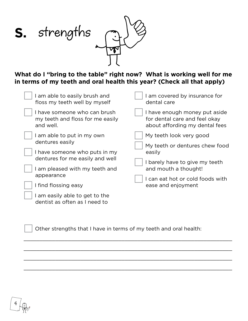

**What do I "bring to the table" right now? What is working well for me in terms of my teeth and oral health this year? (Check all that apply)**

| am able to easily brush and<br>floss my teeth well by myself                  | I am covered by insurance for<br>dental care                                                     |  |
|-------------------------------------------------------------------------------|--------------------------------------------------------------------------------------------------|--|
| I have someone who can brush<br>my teeth and floss for me easily<br>and well. | I have enough money put aside<br>for dental care and feel okay<br>about affording my dental fees |  |
| am able to put in my own                                                      | My teeth look very good                                                                          |  |
| dentures easily                                                               | My teeth or dentures chew food                                                                   |  |
| I have someone who puts in my                                                 | easily                                                                                           |  |
| dentures for me easily and well                                               | I barely have to give my teeth                                                                   |  |
| I am pleased with my teeth and                                                | and mouth a thought!                                                                             |  |
| appearance                                                                    | I can eat hot or cold foods with                                                                 |  |
| I find flossing easy                                                          | ease and enjoyment                                                                               |  |
| am easily able to get to the<br>dentist as often as I need to                 |                                                                                                  |  |

Other strengths that I have in terms of my teeth and oral health:

\_\_\_\_\_\_\_\_\_\_\_\_\_\_\_\_\_\_\_\_\_\_\_\_\_\_\_\_\_\_\_\_\_\_\_\_\_\_\_\_\_\_\_\_\_\_\_\_\_\_\_\_\_\_\_\_\_\_\_\_\_\_\_\_\_\_

\_\_\_\_\_\_\_\_\_\_\_\_\_\_\_\_\_\_\_\_\_\_\_\_\_\_\_\_\_\_\_\_\_\_\_\_\_\_\_\_\_\_\_\_\_\_\_\_\_\_\_\_\_\_\_\_\_\_\_\_\_\_\_\_\_\_

\_\_\_\_\_\_\_\_\_\_\_\_\_\_\_\_\_\_\_\_\_\_\_\_\_\_\_\_\_\_\_\_\_\_\_\_\_\_\_\_\_\_\_\_\_\_\_\_\_\_\_\_\_\_\_\_\_\_\_\_\_\_\_\_\_\_

\_\_\_\_\_\_\_\_\_\_\_\_\_\_\_\_\_\_\_\_\_\_\_\_\_\_\_\_\_\_\_\_\_\_\_\_\_\_\_\_\_\_\_\_\_\_\_\_\_\_\_\_\_\_\_\_\_\_\_\_\_\_\_\_\_\_

4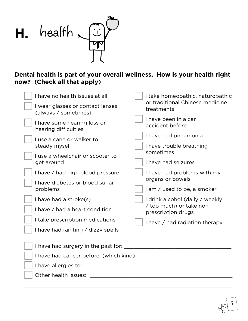

#### **Dental health is part of your overall wellness. How is your health right now? (Check all that apply)**

| I have no health issues at all                           | I take homeopathic, naturopathic               |
|----------------------------------------------------------|------------------------------------------------|
| I wear glasses or contact lenses<br>(always / sometimes) | or traditional Chinese medicine<br>treatments  |
| I have some hearing loss or<br>hearing difficulties      | I have been in a car<br>accident before        |
| I use a cane or walker to                                | I have had pneumonia                           |
| steady myself                                            | I have trouble breathing<br>sometimes          |
| I use a wheelchair or scooter to                         |                                                |
| get around                                               | I have had seizures                            |
| I have / had high blood pressure                         | I have had problems with my                    |
| I have diabetes or blood sugar                           | organs or bowels                               |
| problems                                                 | I am / used to be, a smoker                    |
| I have had a stroke(s)                                   | I drink alcohol (daily / weekly                |
| I have / had a heart condition                           | / too much) or take non-<br>prescription drugs |
| I take prescription medications                          | I have / had radiation therapy                 |
| I have had fainting / dizzy spells                       |                                                |
|                                                          |                                                |
|                                                          |                                                |
| I have had cancer before: (which kind) ___               |                                                |
| I have allergies to: _                                   |                                                |
| Other health issues:                                     |                                                |
|                                                          |                                                |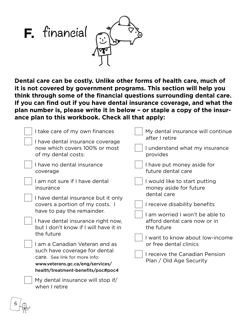

**Dental care can be costly. Unlike other forms of health care, much of it is not covered by government programs. This section will help you think through some of the financial questions surrounding dental care. If you can find out if you have dental insurance coverage, and what the plan number is, please write it in below – or staple a copy of the insurance plan to this workbook. Check all that apply:**

| I take care of my own finances                                                                                                                                                                                                                                          | My dental insurance will continue<br>after I retire                             |
|-------------------------------------------------------------------------------------------------------------------------------------------------------------------------------------------------------------------------------------------------------------------------|---------------------------------------------------------------------------------|
| I have dental insurance coverage<br>now which covers 100% or most<br>of my dental costs:                                                                                                                                                                                | I understand what my insurance<br>provides                                      |
| I have no dental insurance<br>coverage                                                                                                                                                                                                                                  | I have put money aside for<br>future dental care                                |
| I am not sure if I have dental<br>insurance                                                                                                                                                                                                                             | I would like to start putting<br>money aside for future                         |
| I have dental insurance but it only<br>covers a portion of my costs. I<br>have to pay the remainder.                                                                                                                                                                    | dental care<br>I receive disability benefits<br>I am worried I won't be able to |
| I have dental insurance right now,<br>but I don't know if I will have it in<br>the future<br>I am a Canadian Veteran and as<br>such have coverage for dental<br>care. See link for more info:<br>www.veterans.gc.ca/eng/services/<br>health/treatment-benefits/poc#poc4 | afford dental care now or in<br>the future                                      |
|                                                                                                                                                                                                                                                                         | I want to know about low-income<br>or free dental clinics                       |
|                                                                                                                                                                                                                                                                         | I receive the Canadian Pension<br>Plan / Old Age Security                       |
| My dental insurance will stop if/<br>when I retire                                                                                                                                                                                                                      |                                                                                 |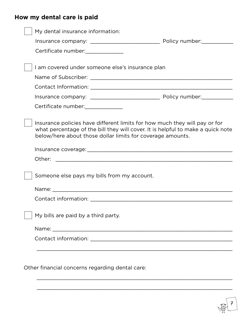#### **How my dental care is paid**

| My dental insurance information:                                                                                                                                                                                            |  |
|-----------------------------------------------------------------------------------------------------------------------------------------------------------------------------------------------------------------------------|--|
|                                                                                                                                                                                                                             |  |
| Certificate number: Certificate number:                                                                                                                                                                                     |  |
|                                                                                                                                                                                                                             |  |
| I am covered under someone else's insurance plan                                                                                                                                                                            |  |
|                                                                                                                                                                                                                             |  |
|                                                                                                                                                                                                                             |  |
|                                                                                                                                                                                                                             |  |
|                                                                                                                                                                                                                             |  |
| Insurance policies have different limits for how much they will pay or for<br>what percentage of the bill they will cover. It is helpful to make a quick note<br>below/here about those dollar limits for coverage amounts. |  |
|                                                                                                                                                                                                                             |  |
| Other:                                                                                                                                                                                                                      |  |
| Someone else pays my bills from my account.                                                                                                                                                                                 |  |
|                                                                                                                                                                                                                             |  |
|                                                                                                                                                                                                                             |  |
| My bills are paid by a third party.                                                                                                                                                                                         |  |
|                                                                                                                                                                                                                             |  |
|                                                                                                                                                                                                                             |  |
|                                                                                                                                                                                                                             |  |
|                                                                                                                                                                                                                             |  |
| Other financial concerns regarding dental care:                                                                                                                                                                             |  |

\_\_\_\_\_\_\_\_\_\_\_\_\_\_\_\_\_\_\_\_\_\_\_\_\_\_\_\_\_\_\_\_\_\_\_\_\_\_\_\_\_\_\_\_\_\_\_\_\_\_\_\_\_\_\_\_\_\_\_\_\_\_

\_\_\_\_\_\_\_\_\_\_\_\_\_\_\_\_\_\_\_\_\_\_\_\_\_\_\_\_\_\_\_\_\_\_\_\_\_\_\_\_\_\_\_\_\_\_\_\_\_\_\_\_\_\_\_\_\_\_\_\_\_\_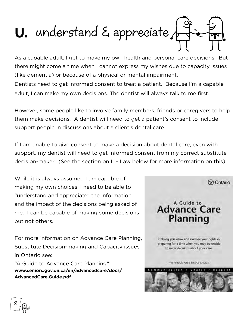

As a capable adult, I get to make my own health and personal care decisions. But there might come a time when I cannot express my wishes due to capacity issues (like dementia) or because of a physical or mental impairment.

Dentists need to get informed consent to treat a patient. Because I'm a capable adult, I can make my own decisions. The dentist will always talk to me first.

However, some people like to involve family members, friends or caregivers to help them make decisions. A dentist will need to get a patient's consent to include support people in discussions about a client's dental care.

If I am unable to give consent to make a decision about dental care, even with support, my dentist will need to get informed consent from my correct substitute decision-maker. (See the section on L – Law below for more information on this).

While it is always assumed I am capable of making my own choices, I need to be able to "understand and appreciate" the information and the impact of the decisions being asked of me. I can be capable of making some decisions but not others.

For more information on Advance Care Planning, Substitute Decision-making and Capacity issues in Ontario see:

"A Guide to Advance Care Planning": **[www.seniors.gov.on.ca/en/advancedcare/docs/](http://www.seniors.gov.on.ca/en/advancedcare/docs/AdvancedCare.Guide.pdf) [AdvancedCare.Guide.pdf](http://www.seniors.gov.on.ca/en/advancedcare/docs/AdvancedCare.Guide.pdf)**

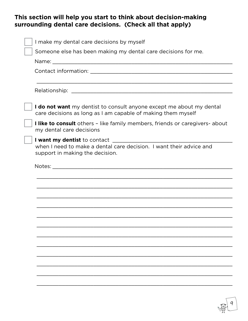#### **This section will help you start to think about decision-making surrounding dental care decisions. (Check all that apply)**

| I make my dental care decisions by myself                                                                                                     |
|-----------------------------------------------------------------------------------------------------------------------------------------------|
| Someone else has been making my dental care decisions for me.                                                                                 |
|                                                                                                                                               |
|                                                                                                                                               |
|                                                                                                                                               |
|                                                                                                                                               |
| I do not want my dentist to consult anyone except me about my dental<br>care decisions as long as I am capable of making them myself          |
| I like to consult others - like family members, friends or caregivers- about<br>my dental care decisions                                      |
| I want my dentist to contact ______<br>when I need to make a dental care decision. I want their advice and<br>support in making the decision. |
|                                                                                                                                               |
|                                                                                                                                               |
|                                                                                                                                               |
|                                                                                                                                               |
|                                                                                                                                               |
|                                                                                                                                               |
|                                                                                                                                               |
|                                                                                                                                               |
|                                                                                                                                               |
|                                                                                                                                               |
|                                                                                                                                               |
|                                                                                                                                               |
|                                                                                                                                               |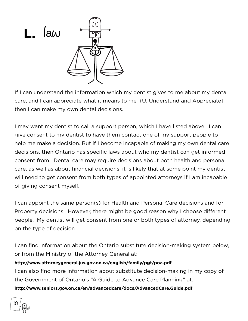

If I can understand the information which my dentist gives to me about my dental care, and I can appreciate what it means to me (U: Understand and Appreciate), then I can make my own dental decisions.

I may want my dentist to call a support person, which I have listed above. I can give consent to my dentist to have them contact one of my support people to help me make a decision. But if I become incapable of making my own dental care decisions, then Ontario has specific laws about who my dentist can get informed consent from. Dental care may require decisions about both health and personal care, as well as about financial decisions, it is likely that at some point my dentist will need to get consent from both types of appointed attorneys if I am incapable of giving consent myself.

I can appoint the same person(s) for Health and Personal Care decisions and for Property decisions. However, there might be good reason why I choose different people. My dentist will get consent from one or both types of attorney, depending on the type of decision.

I can find information about the Ontario substitute decision-making system below, or from the Ministry of the Attorney General at:

#### **<http://www.attorneygeneral.jus.gov.on.ca/english/family/pgt/poa.pdf>**

I can also find more information about substitute decision-making in my copy of the Government of Ontario's "A Guide to Advance Care Planning" at:

**<http://www.seniors.gov.on.ca/en/advancedcare/docs/AdvancedCare.Guide.pdf>**

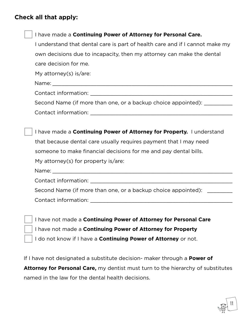#### **Check all that apply:**

| I have made a Continuing Power of Attorney for Personal Care.                |
|------------------------------------------------------------------------------|
| I understand that dental care is part of health care and if I cannot make my |
| own decisions due to incapacity, then my attorney can make the dental        |
| care decision for me.                                                        |
| My attorney(s) is/are:                                                       |
|                                                                              |
|                                                                              |
| Second Name (if more than one, or a backup choice appointed): ___________    |
|                                                                              |
|                                                                              |
| I have made a <b>Continuing Power of Attorney for Property.</b> I understand |
| that because dental care usually requires payment that I may need            |
| someone to make financial decisions for me and pay dental bills.             |
| My attorney(s) for property is/are:                                          |
|                                                                              |
|                                                                              |
| Second Name (if more than one, or a backup choice appointed):                |
| Contact information: The contract information:                               |
|                                                                              |
| I have not made a <b>Continuing Power of Attorney for Personal Care</b>      |
| I have not made a Continuing Power of Attorney for Property                  |
| I do not know if I have a <b>Continuing Power of Attorney</b> or not.        |

If I have not designated a substitute decision- maker through a **Power of Attorney for Personal Care,** my dentist must turn to the hierarchy of substitutes named in the law for the dental health decisions.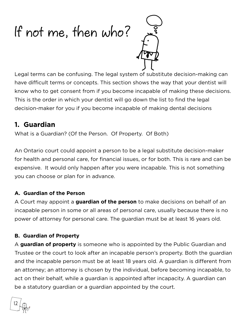# If not me, then who?



Legal terms can be confusing. The legal system of substitute decision-making can have difficult terms or concepts. This section shows the way that your dentist will know who to get consent from if you become incapable of making these decisions. This is the order in which your dentist will go down the list to find the legal decision-maker for you if you become incapable of making dental decisions

#### **1. Guardian**

What is a Guardian? (Of the Person. Of Property. Of Both)

An Ontario court could appoint a person to be a legal substitute decision-maker for health and personal care, for financial issues, or for both. This is rare and can be expensive. It would only happen after you were incapable. This is not something you can choose or plan for in advance.

#### **A. Guardian of the Person**

A Court may appoint a **guardian of the person** to make decisions on behalf of an incapable person in some or all areas of personal care, usually because there is no power of attorney for personal care. The guardian must be at least 16 years old.

#### **B. Guardian of Property**

A **guardian of property** is someone who is appointed by the Public Guardian and Trustee or the court to look after an incapable person's property. Both the guardian and the incapable person must be at least 18 years old. A guardian is different from an attorney; an attorney is chosen by the individual, before becoming incapable, to act on their behalf, while a guardian is appointed after incapacity. A guardian can be a statutory guardian or a guardian appointed by the court.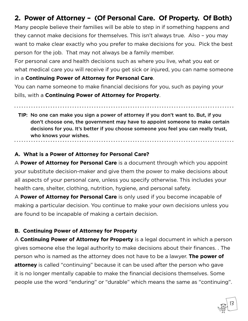#### **2. Power of Attorney – (Of Personal Care. Of Property. Of Both)**

Many people believe their families will be able to step in if something happens and they cannot make decisions for themselves. This isn't always true. Also – you may want to make clear exactly who you prefer to make decisions for you. Pick the best person for the job. That may not always be a family member.

For personal care and health decisions such as where you live, what you eat or what medical care you will receive if you get sick or injured, you can name someone in a **Continuing Power of Attorney for Personal Care**.

You can name someone to make financial decisions for you, such as paying your bills, with a **Continuing Power of Attorney for Property**.

**TIP**: No one can make you sign a power of attorney if you don't want to. But, if you don't choose one, the government may have to appoint someone to make certain decisions for you. It's better if you choose someone you feel you can really trust, who knows your wishes.

#### **A. What is a Power of Attorney for Personal Care?**

A **Power of Attorney for Personal Care** is a document through which you appoint your substitute decision-maker and give them the power to make decisions about all aspects of your personal care, unless you specify otherwise. This includes your health care, shelter, clothing, nutrition, hygiene, and personal safety.

A **Power of Attorney for Personal Care** is only used if you become incapable of making a particular decision. You continue to make your own decisions unless you are found to be incapable of making a certain decision.

#### **B. Continuing Power of Attorney for Property**

A **Continuing Power of Attorney for Property** is a legal document in which a person gives someone else the legal authority to make decisions about their finances. . The person who is named as the attorney does not have to be a lawyer. **The power of attorney** is called "continuing" because it can be used after the person who gave it is no longer mentally capable to make the financial decisions themselves. Some people use the word "enduring" or "durable" which means the same as "continuing".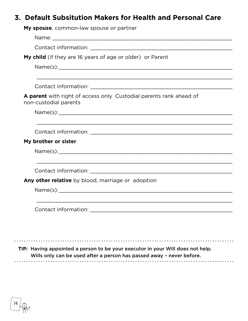#### **3. Default Subsitution Makers for Health and Personal Care**

| My spouse, common-law spouse or partner                                                     |
|---------------------------------------------------------------------------------------------|
|                                                                                             |
|                                                                                             |
| My child (if they are 16 years of age or older) or Parent                                   |
|                                                                                             |
|                                                                                             |
| A parent with right of access only Custodial parents rank ahead of<br>non-custodial parents |
|                                                                                             |
|                                                                                             |
| My brother or sister                                                                        |
|                                                                                             |
|                                                                                             |
| Any other relative by blood, marriage or adoption                                           |
| Name(s): Name(s):                                                                           |
|                                                                                             |
|                                                                                             |

**TIP:** Having appointed a person to be your executor in your Will does not help. Wills only can be used after a person has passed away – never before. 

$$
\boxed{14}
$$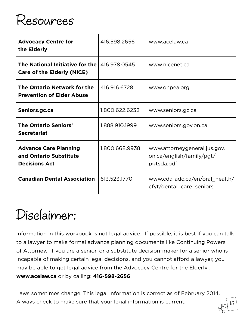## Resources

| <b>Advocacy Centre for</b><br>the Elderly                                      | 416.598.2656   | www.acelaw.ca                                                           |
|--------------------------------------------------------------------------------|----------------|-------------------------------------------------------------------------|
| The National Initiative for the<br><b>Care of the Elderly (NICE)</b>           | 416.978.0545   | www.nicenet.ca                                                          |
| The Ontario Network for the<br><b>Prevention of Elder Abuse</b>                | 416.916.6728   | www.onpea.org                                                           |
| Seniors.gc.ca                                                                  | 1.800.622.6232 | www.seniors.gc.ca                                                       |
| <b>The Ontario Seniors'</b><br><b>Secretariat</b>                              | 1.888.910.1999 | www.seniors.gov.on.ca                                                   |
| <b>Advance Care Planning</b><br>and Ontario Substitute<br><b>Decisions Act</b> | 1.800.668.9938 | www.attorneygeneral.jus.gov.<br>on.ca/english/family/pgt/<br>pgtsda.pdf |
| <b>Canadian Dental Association</b>                                             | 613.523.1770   | www.cda-adc.ca/en/oral_health/<br>cfyt/dental_care_seniors              |

## Disclaimer:

Information in this workbook is not legal advice. If possible, it is best if you can talk to a lawyer to make formal advance planning documents like Continuing Powers of Attorney. If you are a senior, or a substitute decision-maker for a senior who is incapable of making certain legal decisions, and you cannot afford a lawyer, you may be able to get legal advice from the Advocacy Centre for the Elderly : **www.acelaw.ca** or by calling: **416-598-2656**

Laws sometimes change. This legal information is correct as of February 2014. Always check to make sure that your legal information is current.